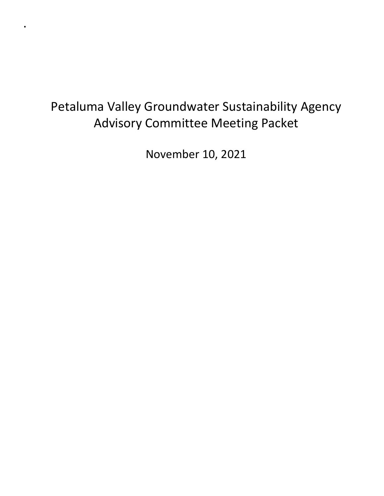## Petaluma Valley Groundwater Sustainability Agency Advisory Committee Meeting Packet

.

November 10, 2021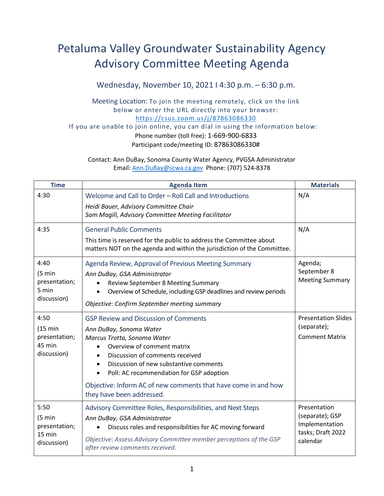## Petaluma Valley Groundwater Sustainability Agency Advisory Committee Meeting Agenda

Wednesday, November 10, 2021 I 4:30 p.m. – 6:30 p.m.

Meeting Location: To join the meeting remotely, click on the link below or enter the URL directly into your browser: <https://csus.zoom.us/j/87863086330>

If you are unable to join online, you can dial in using the information below:

Phone number (toll free): 1-669-900-6833 Participant code/meeting ID: 87863086330#

Contact: Ann DuBay, Sonoma County Water Agency, PVGSA Administrator Email: [Ann.DuBay@scwa.ca.gov](mailto:Ann.DuBay@scwa.ca.gov) Phone: (707) 524-8378

| <b>Time</b>                                                          | <b>Agenda Item</b>                                                                                                                                                                                                                                                                                                                                                                     | <b>Materials</b>                                                                   |
|----------------------------------------------------------------------|----------------------------------------------------------------------------------------------------------------------------------------------------------------------------------------------------------------------------------------------------------------------------------------------------------------------------------------------------------------------------------------|------------------------------------------------------------------------------------|
| 4:30                                                                 | Welcome and Call to Order - Roll Call and Introductions<br>Heidi Bauer, Advisory Committee Chair<br>Sam Magill, Advisory Committee Meeting Facilitator                                                                                                                                                                                                                                 | N/A                                                                                |
| 4:35                                                                 | <b>General Public Comments</b><br>This time is reserved for the public to address the Committee about<br>matters NOT on the agenda and within the jurisdiction of the Committee.                                                                                                                                                                                                       | N/A                                                                                |
| 4:40<br>$(5 \text{ min})$<br>presentation;<br>5 min<br>discussion)   | Agenda Review, Approval of Previous Meeting Summary<br>Ann DuBay, GSA Administrator<br>Review September 8 Meeting Summary<br>Overview of Schedule, including GSP deadlines and review periods<br>Objective: Confirm September meeting summary                                                                                                                                          | Agenda;<br>September 8<br><b>Meeting Summary</b>                                   |
| 4:50<br>$(15 \text{ min})$<br>presentation;<br>45 min<br>discussion) | <b>GSP Review and Discussion of Comments</b><br>Ann DuBay, Sonoma Water<br>Marcus Trotta, Sonoma Water<br>Overview of comment matrix<br>Discussion of comments received<br>$\bullet$<br>Discussion of new substantive comments<br>$\bullet$<br>Poll: AC recommendation for GSP adoption<br>Objective: Inform AC of new comments that have come in and how<br>they have been addressed. | <b>Presentation Slides</b><br>(separate);<br><b>Comment Matrix</b>                 |
| 5:50<br>$(5 \text{ min})$<br>presentation;<br>15 min<br>discussion)  | Advisory Committee Roles, Responsibilities, and Next Steps<br>Ann DuBay, GSA Administrator<br>Discuss roles and responsibilities for AC moving forward<br>$\bullet$<br>Objective: Assess Advisory Committee member perceptions of the GSP<br>after review comments received.                                                                                                           | Presentation<br>(separate); GSP<br>Implementation<br>tasks; Draft 2022<br>calendar |